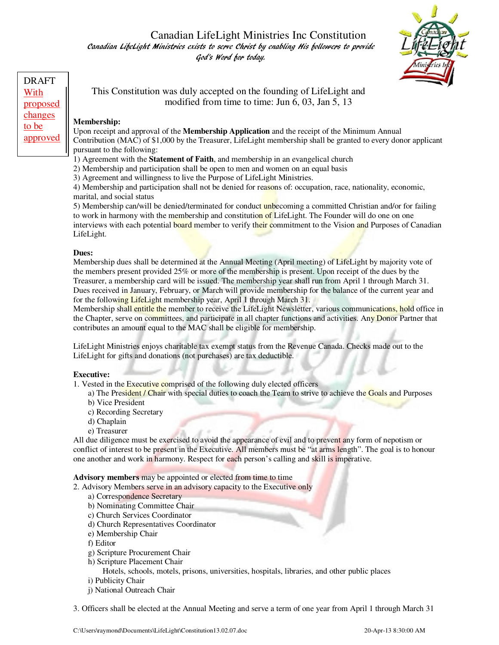

DRAFT With proposed changes to be approved

This Constitution was duly accepted on the founding of LifeLight and modified from time to time: Jun 6, 03, Jan 5, 13

#### **Membership:**

Upon receipt and approval of the **Membership Application** and the receipt of the Minimum Annual Contribution (MAC) of \$1,000 by the Treasurer, LifeLight membership shall be granted to every donor applicant pursuant to the following:

- 1) Agreement with the **Statement of Faith**, and membership in an evangelical church
- 2) Membership and participation shall be open to men and women on an equal basis
- 3) Agreement and willingness to live the Purpose of LifeLight Ministries.

4) Membership and participation shall not be denied for reasons of: occupation, race, nationality, economic, marital, and social status

5) Membership can/will be denied/terminated for conduct unbecoming a committed Christian and/or for failing to work in harmony with the membership and constitution of LifeLight. The Founder will do one on one interviews with each potential board member to verify their commitment to the Vision and Purposes of Canadian LifeLight.

### **Dues:**

Membership dues shall be determined at the Annual Meeting (April meeting) of LifeLight by majority vote of the members present provided 25% or more of the membership is present. Upon receipt of the dues by the Treasurer, a membership card will be issued. The membership year shall run from April 1 through March 31. Dues received in January, February, or March will provide membership for the balance of the current year and for the following LifeLight membership year, April 1 through March 31.

Membership shall entitle the member to receive the LifeLight Newsletter, various communications, hold office in the Chapter, serve on committees, and participate in all chapter functions and activities. Any Donor Partner that contributes an amount equal to the MAC shall be eligible for membership.

LifeLight Ministries enjoys charitable tax exempt status from the Revenue Canada. Checks made out to the LifeLight for gifts and donations (not purchases) are tax deductible.

### **Executive:**

1. Vested in the Executive comprised of the following duly elected officers

a) The President / Chair with special duties to coach the Team to strive to achieve the Goals and Purposes b) Vice President

- c) Recording Secretary
- d) Chaplain
- e) Treasurer

All due diligence must be exercised to avoid the appearance of evil and to prevent any form of nepotism or conflict of interest to be present in the Executive. All members must be "at arms length". The goal is to honour one another and work in harmony. Respect for each person's calling and skill is imperative.

### **Advisory members** may be appointed or elected from time to time

2. Advisory Members serve in an advisory capacity to the Executive only

- a) Correspondence Secretary
- b) Nominating Committee Chair
- c) Church Services Coordinator
- d) Church Representatives Coordinator
- e) Membership Chair
- f) Editor
- g) Scripture Procurement Chair
- h) Scripture Placement Chair
	- Hotels, schools, motels, prisons, universities, hospitals, libraries, and other public places
- i) Publicity Chair
- j) National Outreach Chair

3. Officers shall be elected at the Annual Meeting and serve a term of one year from April 1 through March 31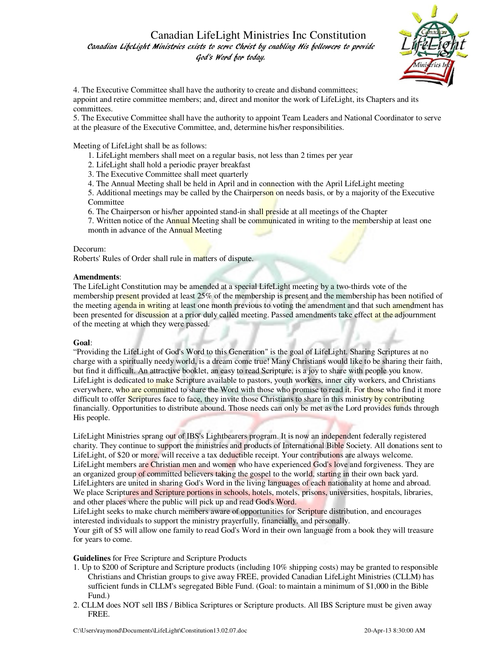

4. The Executive Committee shall have the authority to create and disband committees; appoint and retire committee members; and, direct and monitor the work of LifeLight, its Chapters and its committees.

5. The Executive Committee shall have the authority to appoint Team Leaders and National Coordinator to serve at the pleasure of the Executive Committee, and, determine his/her responsibilities.

#### Meeting of LifeLight shall be as follows:

- 1. LifeLight members shall meet on a regular basis, not less than 2 times per year
- 2. LifeLight shall hold a periodic prayer breakfast
- 3. The Executive Committee shall meet quarterly
- 4. The Annual Meeting shall be held in April and in connection with the April LifeLight meeting

5. Additional meetings may be called by the Chairperson on needs basis, or by a majority of the Executive Committee

6. The Chairperson or his/her appointed stand-in shall preside at all meetings of the Chapter

7. Written notice of the Annual Meeting shall be communicated in writing to the membership at least one month in advance of the Annual Meeting

#### Decorum:

Roberts' Rules of Order shall rule in matters of dispute.

#### **Amendments**:

The LifeLight Constitution may be amended at a special LifeLight meeting by a two-thirds vote of the membership present provided at least 25% of the membership is present and the membership has been notified of the meeting agenda in writing at least one month previous to voting the amendment and that such amendment has been presented for discussion at a prior duly called meeting. Passed amendments take effect at the adjournment of the meeting at which they were passed.

#### **Goal**:

"Providing the LifeLight of God's Word to this Generation" is the goal of LifeLight. Sharing Scriptures at no charge with a spiritually needy world, is a dream come true! Many Christians would like to be sharing their faith, but find it difficult. An attractive booklet, an easy to read Scripture, is a joy to share with people you know. LifeLight is dedicated to make Scripture available to pastors, youth workers, inner city workers, and Christians everywhere, who are committed to share the Word with those who promise to read it. For those who find it more difficult to offer Scriptures face to face, they invite those Christians to share in this ministry by contributing financially. Opportunities to distribute abound. Those needs can only be met as the Lord provides funds through His people.

LifeLight Ministries sprang out of IBS's Lightbearers program. It is now an independent federally registered charity. They continue to support the ministries and products of International Bible Society. All donations sent to LifeLight, of \$20 or more, will receive a tax deductible receipt. Your contributions are always welcome. LifeLight members are Christian men and women who have experienced God's love and forgiveness. They are an organized group of committed believers taking the gospel to the world, starting in their own back yard. LifeLighters are united in sharing God's Word in the living languages of each nationality at home and abroad. We place Scriptures and Scripture portions in schools, hotels, motels, prisons, universities, hospitals, libraries, and other places where the public will pick up and read God's Word.

LifeLight seeks to make church members aware of opportunities for Scripture distribution, and encourages interested individuals to support the ministry prayerfully, financially, and personally.

Your gift of \$5 will allow one family to read God's Word in their own language from a book they will treasure for years to come.

### **Guidelines** for Free Scripture and Scripture Products

- 1. Up to \$200 of Scripture and Scripture products (including 10% shipping costs) may be granted to responsible Christians and Christian groups to give away FREE, provided Canadian LifeLight Ministries (CLLM) has sufficient funds in CLLM's segregated Bible Fund. (Goal: to maintain a minimum of \$1,000 in the Bible Fund.)
- 2. CLLM does NOT sell IBS / Biblica Scriptures or Scripture products. All IBS Scripture must be given away FREE.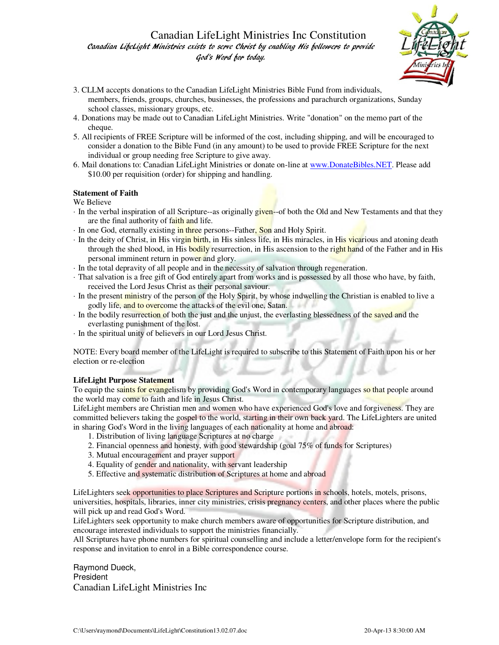

- 3. CLLM accepts donations to the Canadian LifeLight Ministries Bible Fund from individuals, members, friends, groups, churches, businesses, the professions and parachurch organizations, Sunday school classes, missionary groups, etc.
- 4. Donations may be made out to Canadian LifeLight Ministries. Write "donation" on the memo part of the cheque.
- 5. All recipients of FREE Scripture will be informed of the cost, including shipping, and will be encouraged to consider a donation to the Bible Fund (in any amount) to be used to provide FREE Scripture for the next individual or group needing free Scripture to give away.
- 6. Mail donations to: Canadian LifeLight Ministries or donate on-line at www.DonateBibles.NET. Please add \$10.00 per requisition (order) for shipping and handling.

### **Statement of Faith**

We Believe

- · In the verbal inspiration of all Scripture--as originally given--of both the Old and New Testaments and that they are the final authority of faith and life.
- In one God, eternally existing in three persons--Father, Son and Holy Spirit.
- · In the deity of Christ, in His virgin birth, in His sinless life, in His miracles, in His vicarious and atoning death through the shed blood, in His **bodily** resurrection, in His ascension to the right hand of the Father and in His personal imminent return in power and glory.
- · In the total depravity of all people and in the necessity of salvation through regeneration.
- · That salvation is a free gift of God entirely apart from works and is possessed by all those who have, by faith, received the Lord Jesus Christ as their personal saviour.
- · In the present ministry of the person of the Holy Spirit, by whose indwelling the Christian is enabled to live a godly life, and to overcome the attacks of the evil one, Satan.
- · In the bodily resurrection of both the just and the unjust, the everlasting blessedness of the saved and the everlasting punishment of the lost.
- · In the spiritual unity of believers in our Lord Jesus Christ.

NOTE: Every board member of the LifeLight is required to subscribe to this Statement of Faith upon his or her election or re-election

### **LifeLight Purpose Statement**

To equip the saints for evangelism by providing God's Word in contemporary languages so that people around the world may come to faith and life in Jesus Christ.

LifeLight members are Christian men and women who have experienced God's love and forgiveness. They are committed believers taking the gospel to the world, starting in their own back yard. The LifeLighters are united in sharing God's Word in the living languages of each nationality at home and abroad:

- 1. Distribution of living language Scriptures at no charge
- 2. Financial openness and honesty, with good stewardship (goal 75% of funds for Scriptures)
- 3. Mutual encouragement and prayer support
- 4. Equality of gender and nationality, with servant leadership
- 5. Effective and systematic distribution of Scriptures at home and abroad

LifeLighters seek opportunities to place Scriptures and Scripture portions in schools, hotels, motels, prisons, universities, hospitals, libraries, inner city ministries, crisis pregnancy centers, and other places where the public will pick up and read God's Word.

LifeLighters seek opportunity to make church members aware of opportunities for Scripture distribution, and encourage interested individuals to support the ministries financially.

All Scriptures have phone numbers for spiritual counselling and include a letter/envelope form for the recipient's response and invitation to enrol in a Bible correspondence course.

Raymond Dueck, President Canadian LifeLight Ministries Inc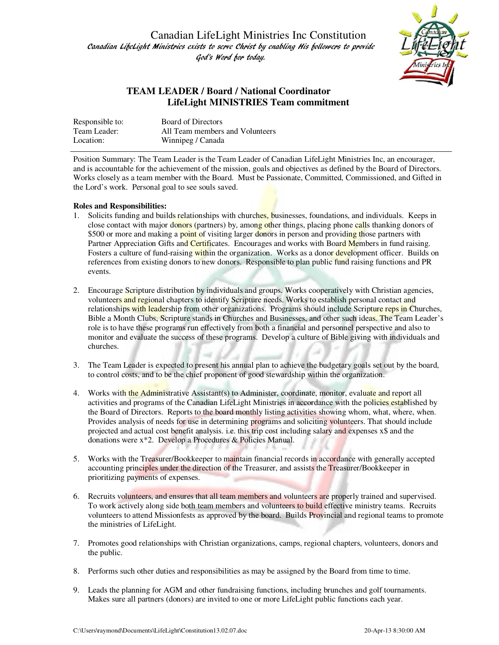

### **TEAM LEADER / Board / National Coordinator LifeLight MINISTRIES Team commitment**

| Responsible to: | <b>Board of Directors</b>       |
|-----------------|---------------------------------|
| Team Leader:    | All Team members and Volunteers |
| Location:       | Winnipeg / Canada               |

Position Summary: The Team Leader is the Team Leader of Canadian LifeLight Ministries Inc, an encourager, and is accountable for the achievement of the mission, goals and objectives as defined by the Board of Directors. Works closely as a team member with the Board. Must be Passionate, Committed, Commissioned, and Gifted in the Lord's work. Personal goal to see souls saved.

#### **Roles and Responsibilities:**

- 1. Solicits funding and builds relationships with churches, businesses, foundations, and individuals. Keeps in close contact with major donors (partners) by, among other things, placing phone calls thanking donors of \$500 or more and making a **point** of visiting larger donors in person and providing those partners with Partner Appreciation Gifts and Certificates. Encourages and works with Board Members in fund raising. Fosters a culture of fund-raising within the organization. Works as a donor development officer. Builds on references from existing donors to new donors. Responsible to plan public fund raising functions and PR events.
- 2. Encourage Scripture distribution by individuals and groups. Works cooperatively with Christian agencies, volunteers and regional chapters to identify Scripture needs. Works to establish personal contact and relationships with leadership from other organizations. Programs should include Scripture reps in Churches, Bible a Month Clubs, Scripture stands in Churches and Businesses, and other such ideas. The Team Leader's role is to have these programs run effectively from both a financial and personnel perspective and also to monitor and evaluate the success of these programs. Develop a culture of Bible giving with individuals and churches.
- an i 3. The Team Leader is expected to present his annual plan to achieve the budgetary goals set out by the board, to control costs, and to be the chief proponent of good stewardship within the organization.
- 4. Works with the Administrative Assistant(s) to Administer, coordinate, monitor, evaluate and report all activities and programs of the Canadian LifeLight Ministries in accordance with the policies established by the Board of Directors. Reports to the board monthly listing activities showing whom, what, where, when. Provides analysis of needs for use in determining programs and soliciting volunteers. That should include projected and actual cost benefit analysis. i.e. this trip cost including salary and expenses x\$ and the donations were x\*2. Develop a Procedures & Policies Manual.
- 5. Works with the Treasurer/Bookkeeper to maintain financial records in accordance with generally accepted accounting principles under the direction of the Treasurer, and assists the Treasurer/Bookkeeper in prioritizing payments of expenses.
- 6. Recruits volunteers, and ensures that all team members and volunteers are properly trained and supervised. To work actively along side both team members and volunteers to build effective ministry teams. Recruits volunteers to attend Missionfests as approved by the board. Builds Provincial and regional teams to promote the ministries of LifeLight.
- 7. Promotes good relationships with Christian organizations, camps, regional chapters, volunteers, donors and the public.
- 8. Performs such other duties and responsibilities as may be assigned by the Board from time to time.
- 9. Leads the planning for AGM and other fundraising functions, including brunches and golf tournaments. Makes sure all partners (donors) are invited to one or more LifeLight public functions each year.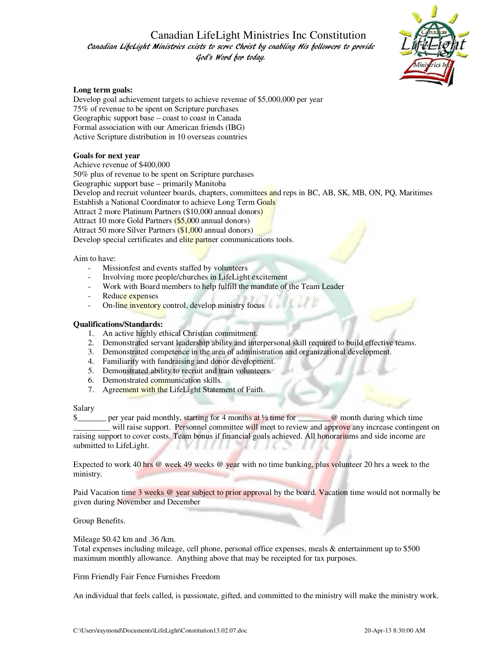

### **Long term goals:**

Develop goal achievement targets to achieve revenue of \$5,000,000 per year 75% of revenue to be spent on Scripture purchases Geographic support base – coast to coast in Canada Formal association with our American friends (IBG) Active Scripture distribution in 10 overseas countries

#### **Goals for next year**

Achieve revenue of \$400,000

50% plus of revenue to be spent on Scripture purchases

Geographic support base – primarily Manitoba

Develop and recruit volunteer boards, chapters, committees and reps in BC, AB, SK, MB, ON, PQ, Maritimes

Establish a National Coordinator to achieve Long Term Goals

Attract 2 more Platinum Partners (\$10,000 annual donors)

Attract 10 more Gold Partners (\$5,000 annual donors)

Attract 50 more Silver Partners (\$1,000 annual donors)

Develop special certificates and elite partner communications tools.

#### Aim to have:

- Missionfest and events staffed by volunteers
- Involving more people/churches in LifeLight excitement
- Work with Board members to help fulfill the mandate of the Team Leader
- Reduce expenses
- On-line inventory control, develop ministry focus

#### **Qualifications/Standards:**

- 1. An active highly ethical Christian commitment.
- 2. Demonstrated servant leadership ability and interpersonal skill required to build effective teams.
- 3. Demonstrated competence in the area of administration and organizational development.
- 4. Familiarity with fundraising and donor development.
- 5. Demonstrated ability to recruit and train volunteers.
- 6. Demonstrated communication skills.
- 7. Agreement with the LifeLight Statement of Faith.

#### Salary

\$ per year paid monthly, starting for 4 months at  $\frac{1}{2}$  time for  $\frac{1}{2}$  month during which time \_\_\_\_\_\_\_\_\_ will raise support. Personnel committee will meet to review and approve any increase contingent on raising support to cover costs. Team bonus if financial goals achieved. All honorariums and side income are submitted to LifeLight.

Expected to work 40 hrs  $\omega$  week 49 weeks  $\omega$  year with no time banking, plus volunteer 20 hrs a week to the ministry.

Paid Vacation time 3 weeks @ year subject to prior approval by the board. Vacation time would not normally be given during November and December

Group Benefits.

Mileage \$0.42 km and .36 /km.

Total expenses including mileage, cell phone, personal office expenses, meals & entertainment up to \$500 maximum monthly allowance. Anything above that may be receipted for tax purposes.

Firm Friendly Fair Fence Furnishes Freedom

An individual that feels called, is passionate, gifted, and committed to the ministry will make the ministry work.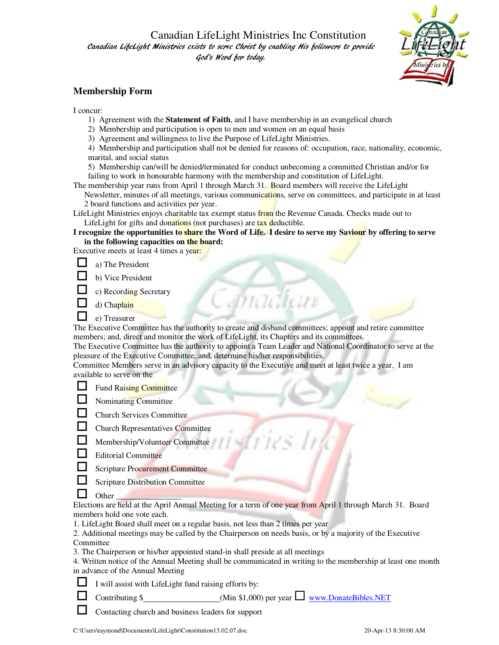

## **Membership Form**

I concur:

- 1) Agreement with the **Statement of Faith**, and I have membership in an evangelical church
- 2) Membership and participation is open to men and women on an equal basis
- 3) Agreement and willingness to live the Purpose of LifeLight Ministries.

4) Membership and participation shall not be denied for reasons of: occupation, race, nationality, economic, marital, and social status

5) Membership can/will be denied/terminated for conduct unbecoming a committed Christian and/or for failing to work in honourable harmony with the membership and constitution of LifeLight.

The membership year runs from April 1 through March 31. Board members will receive the LifeLight

Newsletter, minutes of all meetings, various communications, serve on committees, and participate in at least 2 board functions and activities per year.

LifeLight Ministries enjoys charitable tax exempt status from the Revenue Canada. Checks made out to LifeLight for gifts and donations (not purchases) are tax deductible.

### **I recognize the opportunities to share the Word of Life. I desire to serve my Saviour by offering to serve in the following capacities on the board:**

Executive meets at least 4 times a year:



- b) Vice President
- c) Recording Secretary
- d) Chaplain
- e) Treasurer

The Executive Committee has the authority to create and disband committees; appoint and retire committee members; and, direct and monitor the work of LifeLight, its Chapters and its committees.

The Executive Committee has the authority to appoint a Team Leader and National Coordinator to serve at the pleasure of the Executive Committee, and, determine his/her responsibilities.

ล้าเวเว้เวเท

Committee Members serve in an advisory capacity to the Executive and meet at least twice a year. I am available to serve on the

| Fund Raising Committee |
|------------------------|
|                        |

Nominating Committee

Church Services Committee

- Church Representatives Committee
- Membership/Volunteer Committee
- Editorial Committee
- Scripture Procurement Committee
- Scripture Distribution Committee

 $\Box$  Other Elections are held at the April Annual Meeting for a term of one year from April 1 through March 31. Board members hold one vote each.

1. LifeLight Board shall meet on a regular basis, not less than 2 times per year

2. Additional meetings may be called by the Chairperson on needs basis, or by a majority of the Executive Committee

3. The Chairperson or his/her appointed stand-in shall preside at all meetings

4. Written notice of the Annual Meeting shall be communicated in writing to the membership at least one month in advance of the Annual Meeting

 $\Box$  Contributing \$ (Min \$1,000) per year  $\Box$  www.DonateBibles.NET

Contacting church and business leaders for support

I will assist with LifeLight fund raising efforts by: